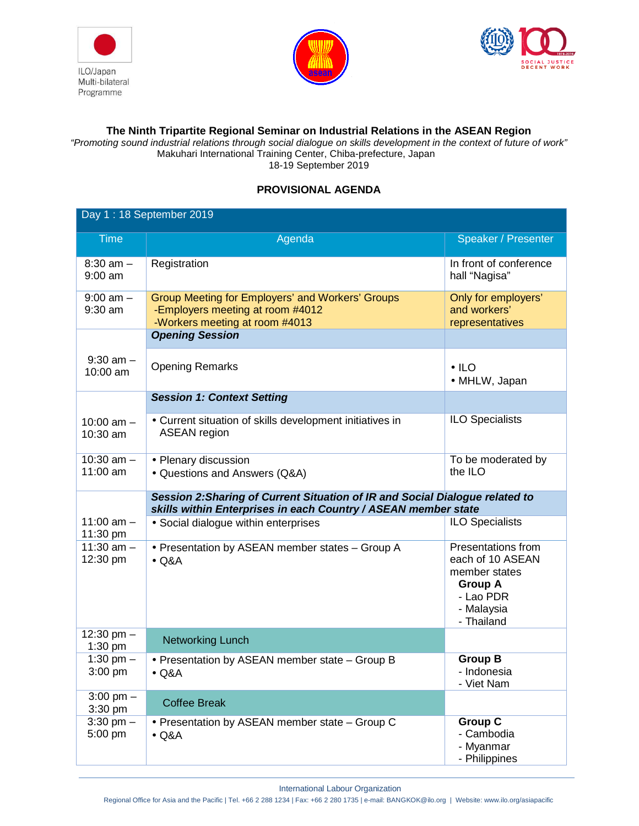





## **The Ninth Tripartite Regional Seminar on Industrial Relations in the ASEAN Region**

"Promoting sound industrial relations through social dialogue on skills development in the context of future of work" Makuhari International Training Center, Chiba-prefecture, Japan 18-19 September 2019

## **PROVISIONAL AGENDA**

| Day 1: 18 September 2019       |                                                                                                                                                |                                                                                                                           |  |  |
|--------------------------------|------------------------------------------------------------------------------------------------------------------------------------------------|---------------------------------------------------------------------------------------------------------------------------|--|--|
| <b>Time</b>                    | Agenda                                                                                                                                         | Speaker / Presenter                                                                                                       |  |  |
| $8:30$ am $-$<br>$9:00$ am     | Registration                                                                                                                                   | In front of conference<br>hall "Nagisa"                                                                                   |  |  |
| $9:00$ am $-$<br>$9:30$ am     | Group Meeting for Employers' and Workers' Groups<br>-Employers meeting at room #4012<br>-Workers meeting at room #4013                         | Only for employers'<br>and workers'<br>representatives                                                                    |  |  |
|                                | <b>Opening Session</b>                                                                                                                         |                                                                                                                           |  |  |
| $9:30$ am $-$<br>10:00 am      | <b>Opening Remarks</b>                                                                                                                         | $\bullet$ ILO<br>• MHLW, Japan                                                                                            |  |  |
|                                | <b>Session 1: Context Setting</b>                                                                                                              |                                                                                                                           |  |  |
| 10:00 $am -$<br>10:30 am       | • Current situation of skills development initiatives in<br><b>ASEAN</b> region                                                                | <b>ILO Specialists</b>                                                                                                    |  |  |
| 10:30 $am -$<br>11:00 am       | • Plenary discussion<br>• Questions and Answers (Q&A)                                                                                          | To be moderated by<br>the ILO                                                                                             |  |  |
|                                | Session 2: Sharing of Current Situation of IR and Social Dialogue related to<br>skills within Enterprises in each Country / ASEAN member state |                                                                                                                           |  |  |
| 11:00 $am -$<br>11:30 pm       | • Social dialogue within enterprises                                                                                                           | <b>ILO Specialists</b>                                                                                                    |  |  |
| 11:30 $am -$<br>12:30 pm       | • Presentation by ASEAN member states - Group A<br>$\bullet$ Q&A                                                                               | <b>Presentations from</b><br>each of 10 ASEAN<br>member states<br><b>Group A</b><br>- Lao PDR<br>- Malaysia<br>- Thailand |  |  |
| 12:30 pm $-$<br>$1:30$ pm      | <b>Networking Lunch</b>                                                                                                                        |                                                                                                                           |  |  |
| 1:30 pm $-$<br>3:00 pm         | • Presentation by ASEAN member state - Group B<br>$\bullet$ Q&A                                                                                | <b>Group B</b><br>- Indonesia<br>- Viet Nam                                                                               |  |  |
| $3:00 \text{ pm} -$<br>3:30 pm | <b>Coffee Break</b>                                                                                                                            |                                                                                                                           |  |  |
| $3:30$ pm $-$<br>5:00 pm       | • Presentation by ASEAN member state - Group C<br>$\bullet$ Q&A                                                                                | <b>Group C</b><br>- Cambodia<br>- Myanmar<br>- Philippines                                                                |  |  |

International Labour Organization